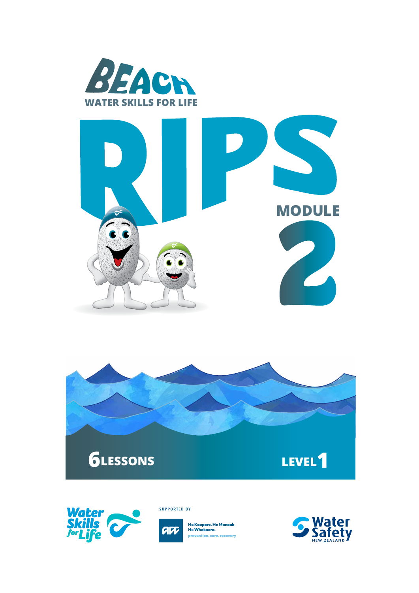







**SUPPORTED BY** 



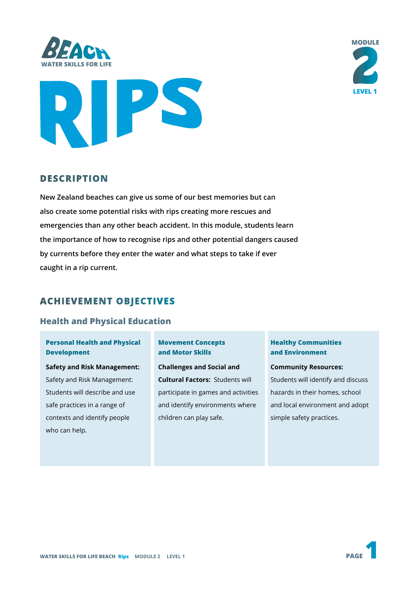



# IPS

#### **DESCRIPTION**

**New Zealand beaches can give us some of our best memories but can also create some potential risks with rips creating more rescues and emergencies than any other beach accident. In this module, students learn the importance of how to recognise rips and other potential dangers caused by currents before they enter the water and what steps to take if ever caught in a rip current.** 

#### **ACHIEVEMENT OBJECTIVES**

#### **Health and Physical Education**

#### **Personal Health and Physical Development**

**Safety and Risk Management:**  Safety and Risk Management: Students will describe and use safe practices in a range of contexts and identify people who can help.

#### **Movement Concepts and Motor Skills**

**Challenges and Social and Cultural Factors:** Students will participate in games and activities and identify environments where children can play safe.

#### **Healthy Communities and Environment**

#### **Community Resources:**

Students will identify and discuss hazards in their homes, school and local environment and adopt simple safety practices.

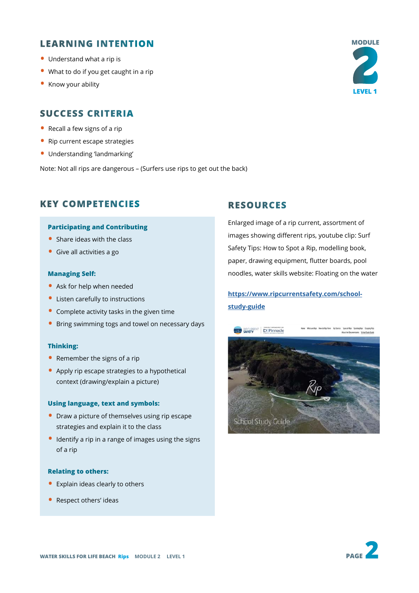#### **LEARNING INTENTION**

- Understand what a rip is
- What to do if you get caught in a rip
- Know your ability

#### **SUCCESS CRITERIA**

- Recall a few signs of a rip
- Rip current escape strategies
- Understanding 'landmarking'

Note: Not all rips are dangerous – (Surfers use rips to get out the back)

#### **KEY COMPETENCIES**

#### **Participating and Contributing**

- Share ideas with the class
- Give all activities a go

#### **Managing Self:**

- Ask for help when needed
- Listen carefully to instructions
- Complete activity tasks in the given time
- Bring swimming togs and towel on necessary days

#### **Thinking:**

- Remember the signs of a rip
- Apply rip escape strategies to a hypothetical context (drawing/explain a picture)

#### **Using language, text and symbols:**

- Draw a picture of themselves using rip escape strategies and explain it to the class
- Identify a rip in a range of images using the signs of a rip

#### **Relating to others:**

- Explain ideas clearly to others
- Respect others' ideas

#### **RESOURCES**

Enlarged image of a rip current, assortment of images showing different rips, youtube clip: Surf Safety Tips: How to Spot a Rip, modelling book, paper, drawing equipment, flutter boards, pool noodles, water skills website: Floating on the water

#### **[https://www.ripcurrentsafety.com/school](https://www.ripcurrentsafety.com/school-study-guide)[study-guide](https://www.ripcurrentsafety.com/school-study-guide)**



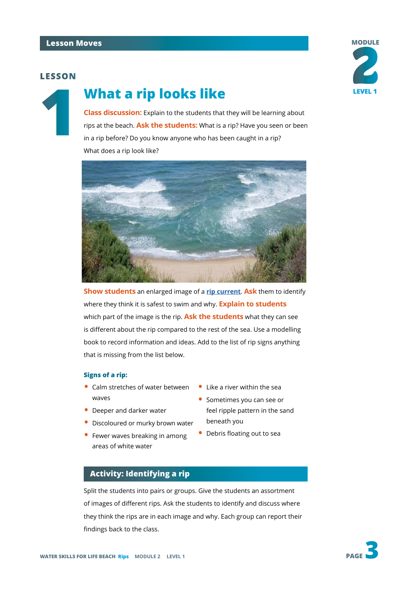

## **1**

## **What a rip looks like LEVEL 1**

**Class discussion:** Explain to the students that they will be learning about rips at the beach. **Ask the students:** What is a rip? Have you seen or been in a rip before? Do you know anyone who has been caught in a rip? What does a rip look like?



**Show students** an enlarged image of a **[rip current](https://docs.google.com/document/d/e/2PACX-1vT5OVCY_S6llysfGQtA_-8yJ3HLChIg9U_lFqAtCLD4E6lPuBuYzhMmRLRtMhIc5qPKwUfAeSTpdgMx/pub)**. **Ask** them to identify where they think it is safest to swim and why. **Explain to students** which part of the image is the rip. **Ask the students** what they can see is different about the rip compared to the rest of the sea. Use a modelling book to record information and ideas. Add to the list of rip signs anything that is missing from the list below.

#### **Signs of a rip:**

- Calm stretches of water between Like a river within the sea waves
- Deeper and darker water
- Discoloured or murky brown water
- Fewer waves breaking in among areas of white water
- 
- Sometimes you can see or feel ripple pattern in the sand beneath you
- Debris floating out to sea

#### **Activity: Identifying a rip**

Split the students into pairs or groups. Give the students an assortment of images of different rips. Ask the students to identify and discuss where they think the rips are in each image and why. Each group can report their findings back to the class.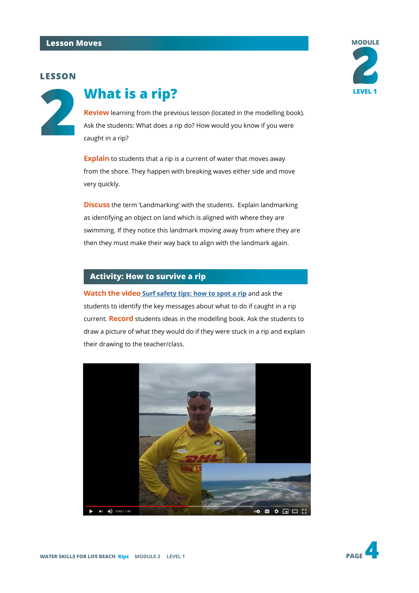

### **What is a rip?** LEVEL 1

**Review** learning from the previous lesson (located in the modelling book). Ask the students: What does a rip do? How would you know if you were caught in a rip?

**Explain** to students that a rip is a current of water that moves away from the shore. They happen with breaking waves either side and move very quickly.

**Discuss** the term 'Landmarking' with the students. Explain landmarking as identifying an object on land which is aligned with where they are swimming. If they notice this landmark moving away from where they are then they must make their way back to align with the landmark again.

#### **Activity: How to survive a rip**

**Watch the vide[o Surf safety tips:](https://www.youtube.com/watch?v=t_xPT7PefRk) how to spot a rip** and ask the students to identify the key messages about what to do if caught in a rip current. **Record** students ideas in the modelling book. Ask the students to draw a picture of what they would do if they were stuck in a rip and explain their drawing to the teacher/class.



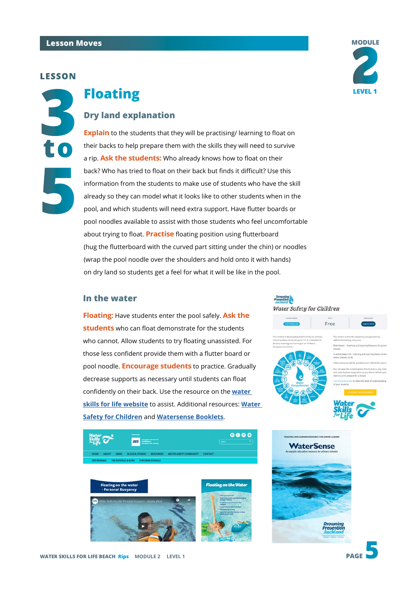

**3 to 5**

## **Floating** LEVEL 1

#### **Dry land explanation**

**Explain** to the students that they will be practising/ learning to float on their backs to help prepare them with the skills they will need to survive a rip. **Ask the students:** Who already knows how to float on their back? Who has tried to float on their back but finds it difficult? Use this information from the students to make use of students who have the skill already so they can model what it looks like to other students when in the pool, and which students will need extra support. Have flutter boards or pool noodles available to assist with those students who feel uncomfortable about trying to float. **Practise** floating position using flutterboard (hug the flutterboard with the curved part sitting under the chin) or noodles (wrap the pool noodle over the shoulders and hold onto it with hands) on dry land so students get a feel for what it will be like in the pool.

#### **In the water**

**Floating:** Have students enter the pool safely. **Ask the students** who can float demonstrate for the students who cannot. Allow students to try floating unassisted. For those less confident provide them with a flutter board or pool noodle. **Encourage students** to practice. Gradually decrease supports as necessary until students can float confidently on their back. Use the resource on the **[water](https://waterskills.org.nz/Floating-on-the-water---personal-buoyancy?web=1&wdLOR=c8091E1F8-EA19-7249-9918-0BB7ACE0D45D)  [skills for life website](https://waterskills.org.nz/Floating-on-the-water---personal-buoyancy?web=1&wdLOR=c8091E1F8-EA19-7249-9918-0BB7ACE0D45D)** to assist. Additional resources: **[Water](https://www.dpanz.org.nz/courses/water-safety-for-children/)  [Safety for Children](https://www.dpanz.org.nz/courses/water-safety-for-children/)** and **[Watersense Booklets](https://www.dpanz.org.nz/wp-content/uploads/2021/07/24554-Watersense-Booklets.pdf)**.



#### **Drowning Water Safety for Children**

Free